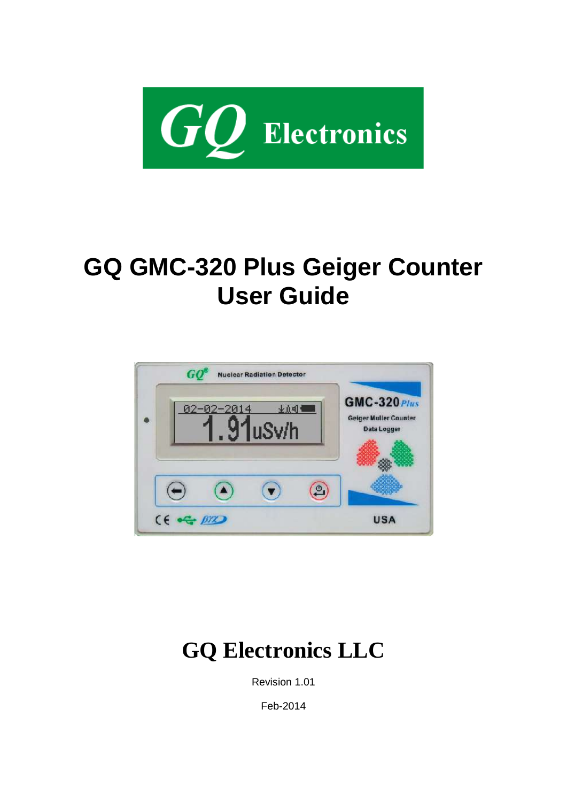

# <span id="page-0-0"></span>**GQ GMC-320 Plus Geiger Counter User Guide**



# **GQ Electronics LLC**

Revision 1.01

Feb-2014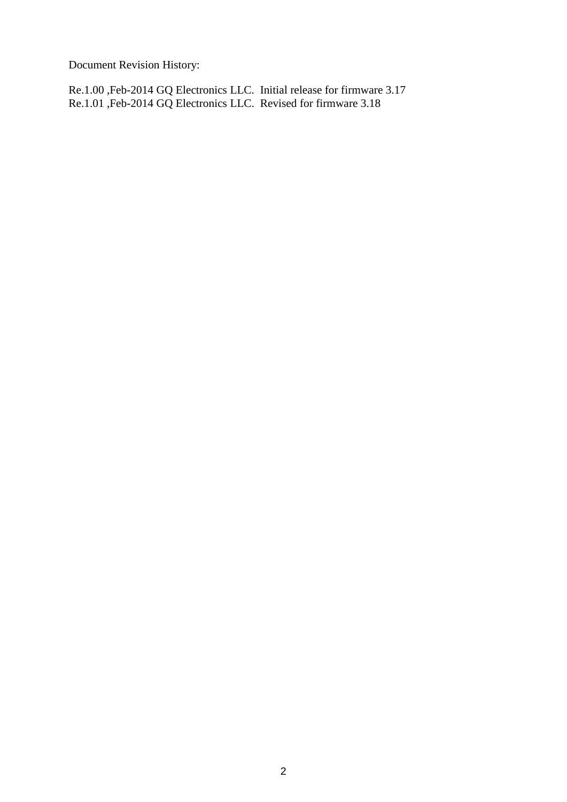Document Revision History:

Re.1.00 ,Feb-2014 GQ Electronics LLC. Initial release for firmware 3.17 Re.1.01 ,Feb-2014 GQ Electronics LLC. Revised for firmware 3.18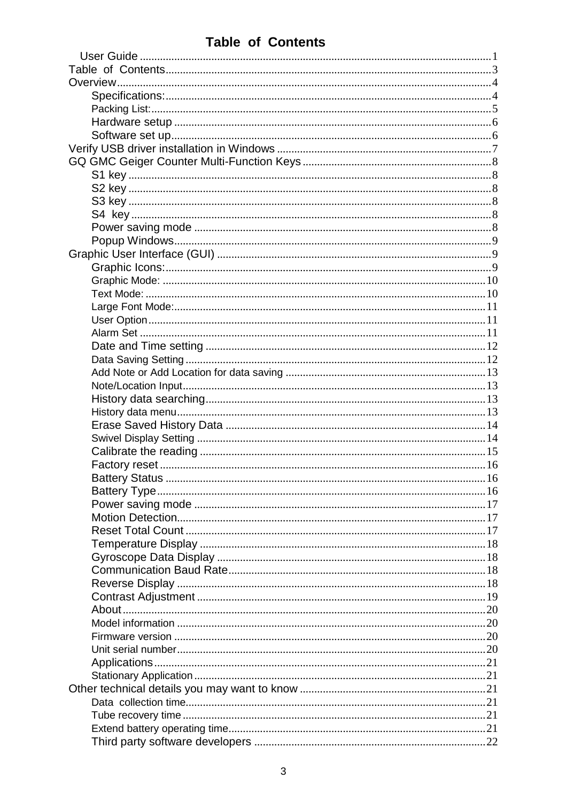# <span id="page-2-0"></span>**Table of Contents**

| Battery Status | . 16 |
|----------------|------|
|                |      |
|                |      |
|                |      |
|                |      |
|                |      |
|                |      |
|                |      |
|                |      |
|                |      |
|                |      |
|                |      |
|                |      |
|                |      |
|                |      |
|                |      |
|                |      |
|                |      |
|                |      |
|                |      |
|                |      |
|                |      |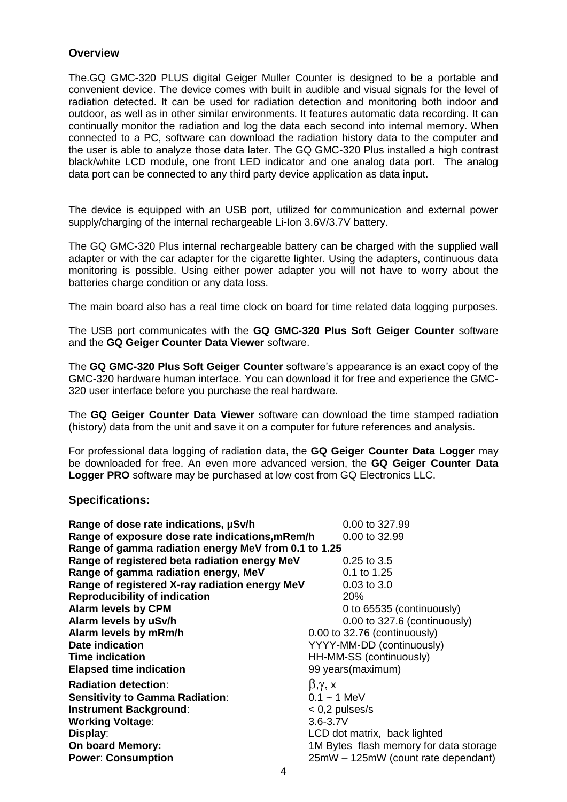#### <span id="page-3-0"></span>**Overview**

The.GQ GMC-320 PLUS digital Geiger Muller Counter is designed to be a portable and convenient device. The device comes with built in audible and visual signals for the level of radiation detected. It can be used for radiation detection and monitoring both indoor and outdoor, as well as in other similar environments. It features automatic data recording. It can continually monitor the radiation and log the data each second into internal memory. When connected to a PC, software can download the radiation history data to the computer and the user is able to analyze those data later. The GQ GMC-320 Plus installed a high contrast black/white LCD module, one front LED indicator and one analog data port. The analog data port can be connected to any third party device application as data input.

The device is equipped with an USB port, utilized for communication and external power supply/charging of the internal rechargeable Li-Ion 3.6V/3.7V battery.

The GQ GMC-320 Plus internal rechargeable battery can be charged with the supplied wall adapter or with the car adapter for the cigarette lighter. Using the adapters, continuous data monitoring is possible. Using either power adapter you will not have to worry about the batteries charge condition or any data loss.

The main board also has a real time clock on board for time related data logging purposes.

The USB port communicates with the **GQ GMC-320 Plus Soft Geiger Counter** software and the **GQ Geiger Counter Data Viewer** software.

The **GQ GMC-320 Plus Soft Geiger Counter** software's appearance is an exact copy of the GMC-320 hardware human interface. You can download it for free and experience the GMC-320 user interface before you purchase the real hardware.

The **GQ Geiger Counter Data Viewer** software can download the time stamped radiation (history) data from the unit and save it on a computer for future references and analysis.

For professional data logging of radiation data, the **GQ Geiger Counter Data Logger** may be downloaded for free. An even more advanced version, the **GQ Geiger Counter Data Logger PRO** software may be purchased at low cost from GQ Electronics LLC.

#### <span id="page-3-1"></span>**Specifications:**

| 0.00 to 327.99                                                   |
|------------------------------------------------------------------|
| Range of exposure dose rate indications, mRem/h<br>0.00 to 32.99 |
| Range of gamma radiation energy MeV from 0.1 to 1.25             |
| $0.25$ to $3.5$                                                  |
| 0.1 to 1.25                                                      |
| $0.03$ to $3.0$                                                  |
| 20%                                                              |
| 0 to 65535 (continuously)                                        |
| 0.00 to 327.6 (continuously)                                     |
| 0.00 to 32.76 (continuously)                                     |
| YYYY-MM-DD (continuously)                                        |
| HH-MM-SS (continuously)                                          |
| 99 years(maximum)                                                |
| $\beta, \gamma, x$                                               |
| $0.1 - 1$ MeV                                                    |
| $< 0.2$ pulses/s                                                 |
| $3.6 - 3.7V$                                                     |
| LCD dot matrix, back lighted                                     |
| 1M Bytes flash memory for data storage                           |
| 25mW - 125mW (count rate dependant)                              |
| Range of registered X-ray radiation energy MeV                   |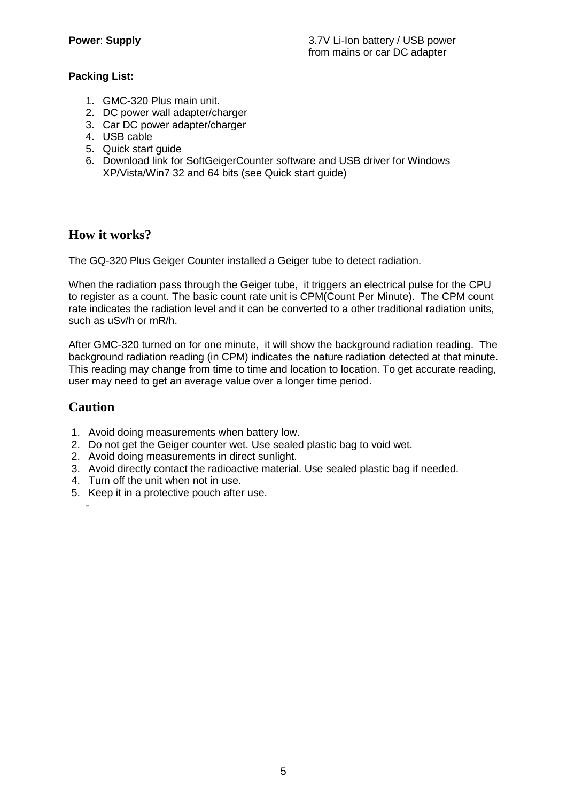#### <span id="page-4-0"></span>**Packing List:**

- 1. GMC-320 Plus main unit.
- 2. DC power wall adapter/charger
- 3. Car DC power adapter/charger
- 4. USB cable
- 5. Quick start guide
- 6. Download link for SoftGeigerCounter software and USB driver for Windows XP/Vista/Win7 32 and 64 bits (see Quick start guide)

# **How it works?**

The GQ-320 Plus Geiger Counter installed a Geiger tube to detect radiation.

When the radiation pass through the Geiger tube, it triggers an electrical pulse for the CPU to register as a count. The basic count rate unit is CPM(Count Per Minute). The CPM count rate indicates the radiation level and it can be converted to a other traditional radiation units, such as uSv/h or mR/h.

After GMC-320 turned on for one minute, it will show the background radiation reading. The background radiation reading (in CPM) indicates the nature radiation detected at that minute. This reading may change from time to time and location to location. To get accurate reading, user may need to get an average value over a longer time period.

# **Caution**

-

- 1. Avoid doing measurements when battery low.
- 2. Do not get the Geiger counter wet. Use sealed plastic bag to void wet.
- 2. Avoid doing measurements in direct sunlight.
- 3. Avoid directly contact the radioactive material. Use sealed plastic bag if needed.
- 4. Turn off the unit when not in use.
- 5. Keep it in a protective pouch after use.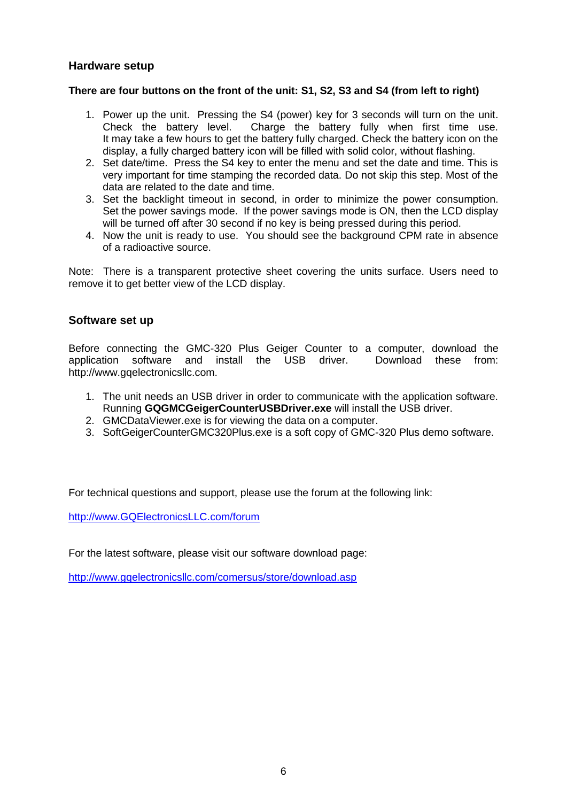#### <span id="page-5-0"></span>**Hardware setup**

#### **There are four buttons on the front of the unit: S1, S2, S3 and S4 (from left to right)**

- 1. Power up the unit. Pressing the S4 (power) key for 3 seconds will turn on the unit. Check the battery level. Charge the battery fully when first time use. It may take a few hours to get the battery fully charged. Check the battery icon on the display, a fully charged battery icon will be filled with solid color, without flashing.
- 2. Set date/time. Press the S4 key to enter the menu and set the date and time. This is very important for time stamping the recorded data. Do not skip this step. Most of the data are related to the date and time.
- 3. Set the backlight timeout in second, in order to minimize the power consumption. Set the power savings mode. If the power savings mode is ON, then the LCD display will be turned off after 30 second if no key is being pressed during this period.
- 4. Now the unit is ready to use. You should see the background CPM rate in absence of a radioactive source.

Note: There is a transparent protective sheet covering the units surface. Users need to remove it to get better view of the LCD display.

#### <span id="page-5-1"></span>**Software set up**

Before connecting the GMC-320 Plus Geiger Counter to a computer, download the application software and install the USB driver. Download these from: http://www.gqelectronicsllc.com.

- 1. The unit needs an USB driver in order to communicate with the application software. Running **GQGMCGeigerCounterUSBDriver.exe** will install the USB driver.
- 2. GMCDataViewer.exe is for viewing the data on a computer.
- 3. SoftGeigerCounterGMC320Plus.exe is a soft copy of GMC-320 Plus demo software.

For technical questions and support, please use the forum at the following link:

[http://www.GQElectronicsLLC.com/forum](http://www.gqelectronicsllc.com/forum)

For the latest software, please visit our software download page:

<http://www.gqelectronicsllc.com/comersus/store/download.asp>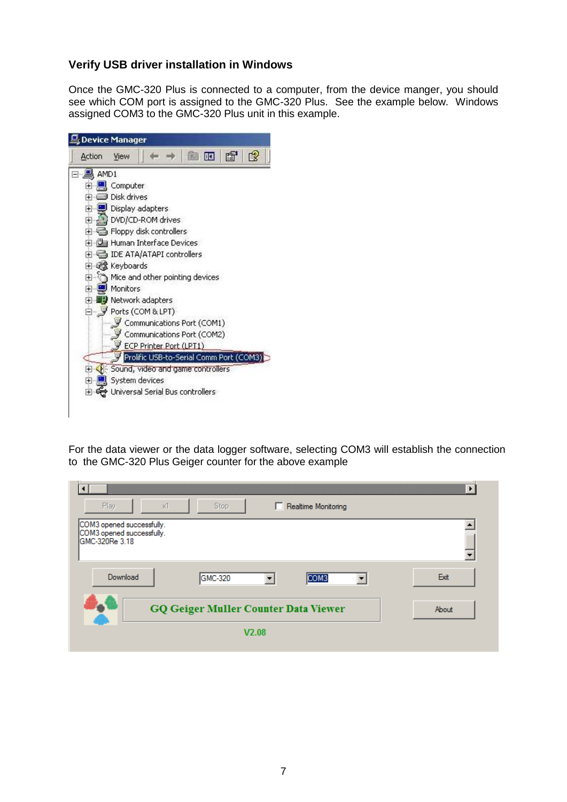#### <span id="page-6-0"></span>**Verify USB driver installation in Windows**

Once the GMC-320 Plus is connected to a computer, from the device manger, you should see which COM port is assigned to the GMC-320 Plus. See the example below. Windows assigned COM3 to the GMC-320 Plus unit in this example.



For the data viewer or the data logger software, selecting COM3 will establish the connection to the GMC-320 Plus Geiger counter for the above example

| Play<br>хî                                                               | Stop    | Realtime Monitoring<br>ш                    |       |
|--------------------------------------------------------------------------|---------|---------------------------------------------|-------|
| COM3 opened successfully.<br>COM3 opened successfully.<br>GMC-320Re 3.18 |         |                                             |       |
|                                                                          |         |                                             |       |
| Download                                                                 | GMC-320 | COM <sub>3</sub>                            | Exit  |
|                                                                          |         |                                             |       |
|                                                                          |         | <b>GQ Geiger Muller Counter Data Viewer</b> | About |
|                                                                          |         | V2.08                                       |       |
|                                                                          |         |                                             |       |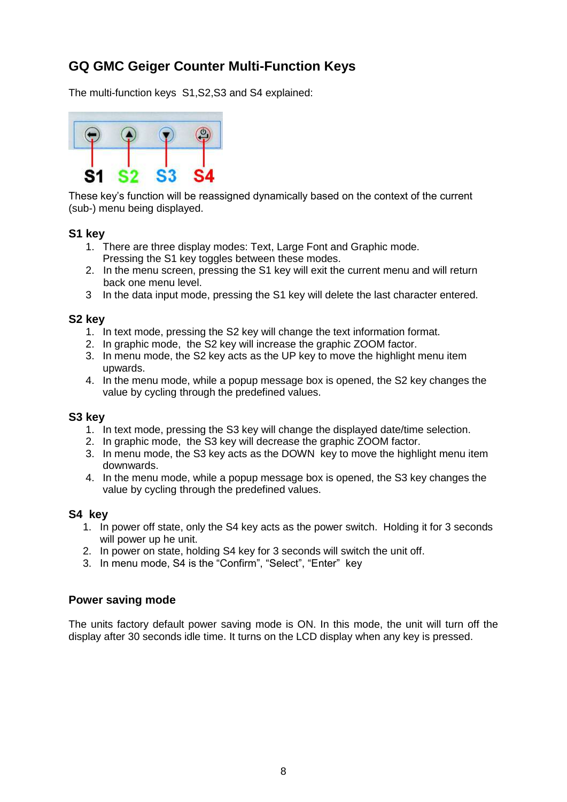# <span id="page-7-0"></span>**GQ GMC Geiger Counter Multi-Function Keys**

The multi-function keys S1,S2,S3 and S4 explained:



These key's function will be reassigned dynamically based on the context of the current (sub-) menu being displayed.

#### <span id="page-7-1"></span>**S1 key**

- 1. There are three display modes: Text, Large Font and Graphic mode. Pressing the S1 key toggles between these modes.
- 2. In the menu screen, pressing the S1 key will exit the current menu and will return back one menu level.
- 3 In the data input mode, pressing the S1 key will delete the last character entered.

#### <span id="page-7-2"></span>**S2 key**

- 1. In text mode, pressing the S2 key will change the text information format.
- 2. In graphic mode, the S2 key will increase the graphic ZOOM factor.
- 3. In menu mode, the S2 key acts as the UP key to move the highlight menu item upwards.
- 4. In the menu mode, while a popup message box is opened, the S2 key changes the value by cycling through the predefined values.

#### <span id="page-7-3"></span>**S3 key**

- 1. In text mode, pressing the S3 key will change the displayed date/time selection.
- 2. In graphic mode, the S3 key will decrease the graphic ZOOM factor.
- 3. In menu mode, the S3 key acts as the DOWN key to move the highlight menu item downwards.
- 4. In the menu mode, while a popup message box is opened, the S3 key changes the value by cycling through the predefined values.

#### <span id="page-7-4"></span>**S4 key**

- 1. In power off state, only the S4 key acts as the power switch. Holding it for 3 seconds will power up he unit.
- 2. In power on state, holding S4 key for 3 seconds will switch the unit off.
- 3. In menu mode, S4 is the "Confirm", "Select", "Enter" key

#### <span id="page-7-5"></span>**Power saving mode**

The units factory default power saving mode is ON. In this mode, the unit will turn off the display after 30 seconds idle time. It turns on the LCD display when any key is pressed.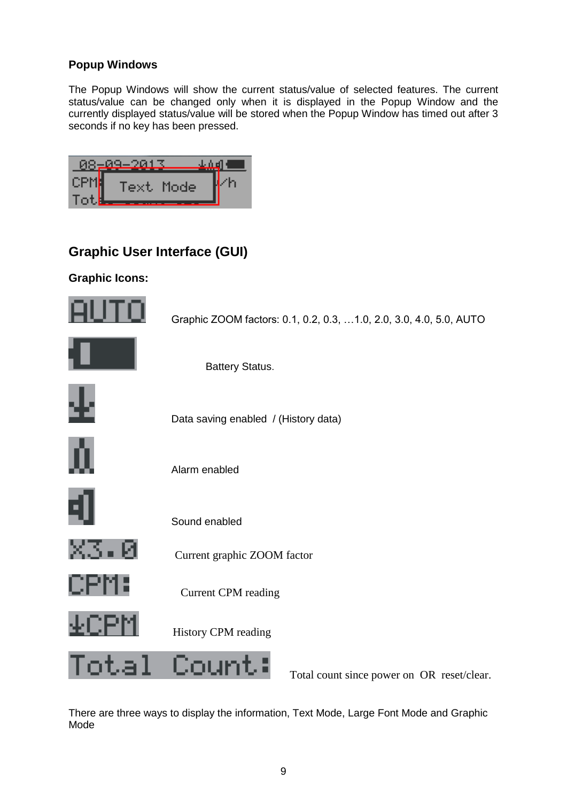#### <span id="page-8-0"></span>**Popup Windows**

The Popup Windows will show the current status/value of selected features. The current status/value can be changed only when it is displayed in the Popup Window and the currently displayed status/value will be stored when the Popup Window has timed out after 3 seconds if no key has been pressed.

|       | $-2013$   |  |
|-------|-----------|--|
|       | Text Mode |  |
| 1 O 7 |           |  |

# <span id="page-8-1"></span>**Graphic User Interface (GUI)**

#### <span id="page-8-2"></span>**Graphic Icons:**



There are three ways to display the information, Text Mode, Large Font Mode and Graphic Mode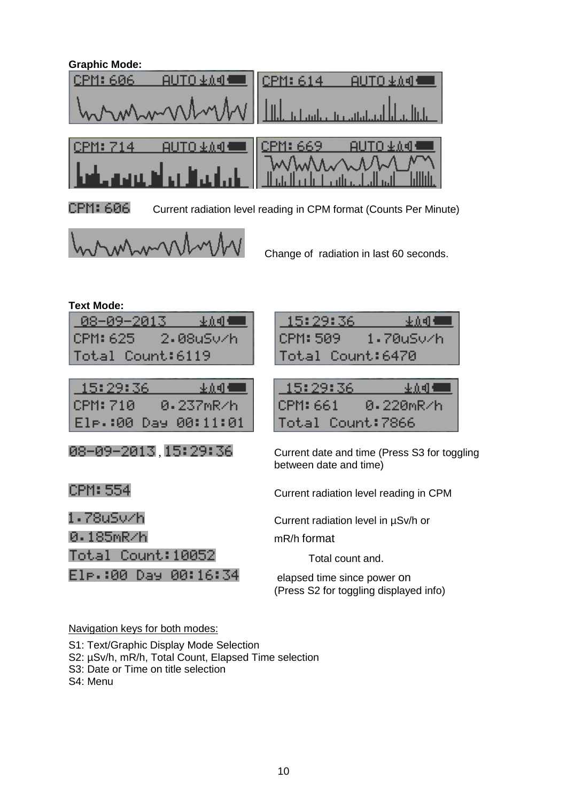<span id="page-9-0"></span>

I

 $\begin{array}{c} \hline \end{array}$ 

CPM: 606 Current radiation level reading in CPM format (Counts Per Minute)

15:29:36

CPM: 509



Change of radiation in last 60 seconds.

<span id="page-9-1"></span>

| <b>Text Mode:</b> |  |
|-------------------|--|
|                   |  |

| -08-09-2013      | 业众明 - 一   |
|------------------|-----------|
| CPM: 625         | 2.08uS∪⁄h |
| Total Count:6119 |           |

| -15:29:36 | 业 ① El ■ ■           |  |
|-----------|----------------------|--|
| CPM: 710  | 0.237mR/h            |  |
|           | Ele.:00 Day 00:11:01 |  |

| Total Count:6470 |            |
|------------------|------------|
|                  |            |
| -15:29:36        | 业众组 * ____ |
| ICPM: 661.       | 0.220mR/h  |

业众相相

1.70uSv/h

 $0.08 - 0.09 - 2.013$ ,  $1.5:29:36$  Current date and time (Press S3 for toggling between date and time)

CPM: 554 Current radiation level reading in CPM

Current radiation level in µSv/h or

Total Count: 7866

0.185mR/h mR/h format

Total count and.

 $E1_{\rm P}$  : 80 Day 00: 16: 34 elapsed time since power on (Press S2 for toggling displayed info)

#### Navigation keys for both modes:

Total Count: 10052

S1: Text/Graphic Display Mode Selection

- S2: µSv/h, mR/h, Total Count, Elapsed Time selection
- S3: Date or Time on title selection

S4: Menu

1.78uSv⁄h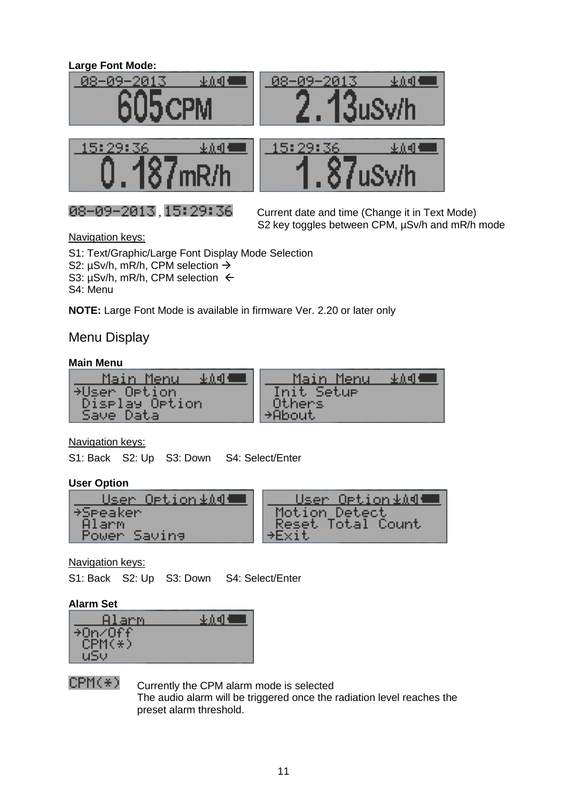#### <span id="page-10-0"></span>**Large Font Mode:**







201

08-09

 $0.08 - 0.09 - 2.013$ ,  $1.5:29:36$  Current date and time (Change it in Text Mode) S2 key toggles between CPM,  $\mu$ Sv/h and mR/h mode

业立明州

Navigation keys:

S1: Text/Graphic/Large Font Display Mode Selection S2: µSv/h, mR/h, CPM selection → S3:  $\mu$ Sv/h, mR/h, CPM selection  $\leftarrow$ S4: Menu

**NOTE:** Large Font Mode is available in firmware Ver. 2.20 or later only

### Menu Display

#### **Main Menu**

| <u> Main Menu</u>           | Main Menu  |
|-----------------------------|------------|
| 小山明月                        | 生息相机       |
| +User Option                | Init Setur |
| Display Option<br>Save Data | Others     |

#### Navigation keys:

S1: Back S2: Up S3: Down S4: Select/Enter

#### <span id="page-10-1"></span>**User Option**

| User Option≰∆¶≞          | User Option≰∆¶¶                    |
|--------------------------|------------------------------------|
| <b>+Speaker</b><br>Alarm | Motion Detect<br>Reset Total Count |
| Power Saving             |                                    |

#### Navigation keys:

S1: Back S2: Up S3: Down S4: Select/Enter

#### <span id="page-10-2"></span>**Alarm Set**

| Alarm    | 亚页明 |
|----------|-----|
| →0n⁄0ff  |     |
| $CPM(*)$ |     |
|          |     |

 $CPM(\pm)$  Currently the CPM alarm mode is selected The audio alarm will be triggered once the radiation level reaches the preset alarm threshold.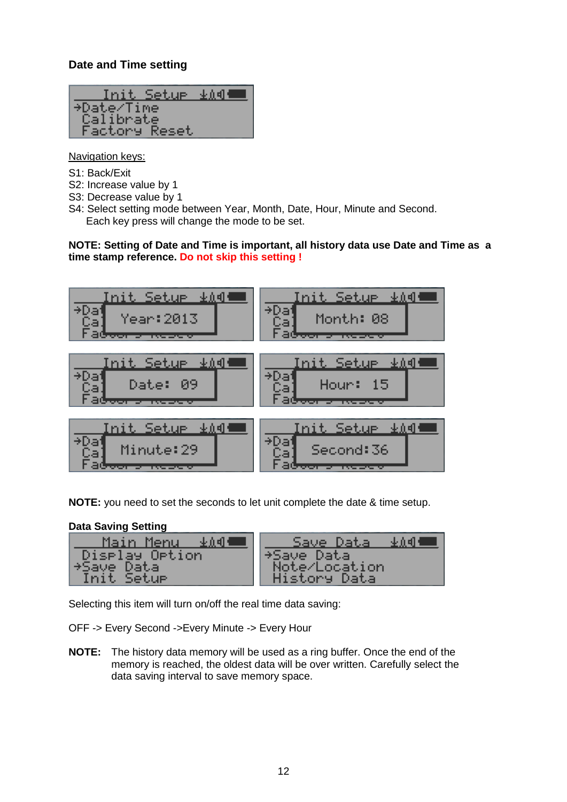### <span id="page-11-0"></span>**Date and Time setting**



Navigation keys:

- S1: Back/Exit
- S2: Increase value by 1
- S3: Decrease value by 1
- S4: Select setting mode between Year, Month, Date, Hour, Minute and Second. Each key press will change the mode to be set.

**NOTE: Setting of Date and Time is important, all history data use Date and Time as a time stamp reference. Do not skip this setting !**



**NOTE:** you need to set the seconds to let unit complete the date & time setup.

#### <span id="page-11-1"></span>**Data Saving Setting**

| Save Data                     |
|-------------------------------|
| →Save Data                    |
| Note/Location<br>History Data |
|                               |

Selecting this item will turn on/off the real time data saving:

OFF -> Every Second ->Every Minute -> Every Hour

**NOTE:** The history data memory will be used as a ring buffer. Once the end of the memory is reached, the oldest data will be over written. Carefully select the data saving interval to save memory space.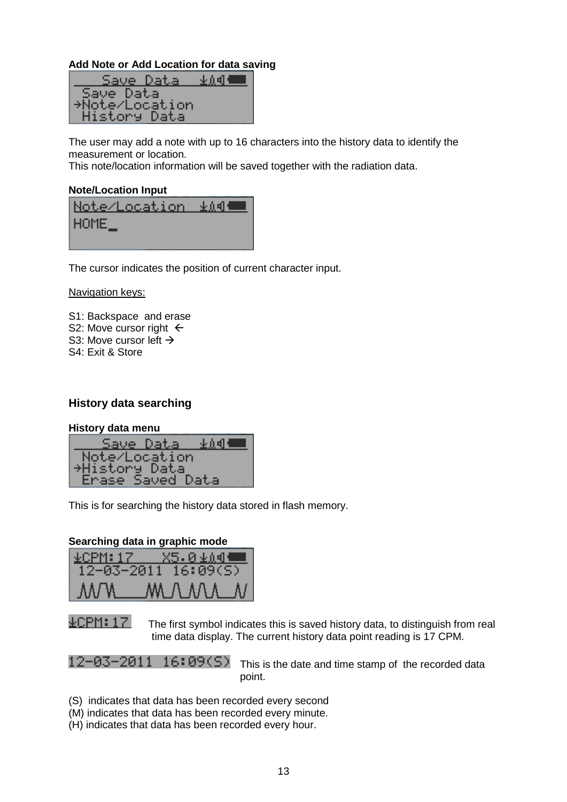#### <span id="page-12-0"></span>**Add Note or Add Location for data saving**

| Save Data      | 业价组织。 |
|----------------|-------|
| Save Data      |       |
| *Note/Location |       |
| History Data   |       |

The user may add a note with up to 16 characters into the history data to identify the measurement or location.

This note/location information will be saved together with the radiation data.

#### <span id="page-12-1"></span>**Note/Location Input**

| $HOME_{-}$ |  |
|------------|--|
|            |  |

The cursor indicates the position of current character input.

Navigation keys:

S1: Backspace and erase S2: Move cursor right  $\leftarrow$ S3: Move cursor left  $\rightarrow$ S4: Exit & Store

#### <span id="page-12-2"></span>**History data searching**

#### <span id="page-12-3"></span>**History data menu**

| Save Data.<br>业众相作   |  |
|----------------------|--|
| Note/Location        |  |
| <b>+History Data</b> |  |
| Erase Saved Data     |  |

This is for searching the history data stored in flash memory.

#### **Searching data in graphic mode**

| <b>⊻CPM:17 —</b> | <u>X5.01∆4</u> |
|------------------|----------------|
|                  |                |
| AA/W             | MAMALNI        |

 $\pm$  CPM: 17 The first symbol indicates this is saved history data, to distinguish from real time data display. The current history data point reading is 17 CPM.

12-03-2011 16:09(S) This is the date and time stamp of the recorded data point.

- (S) indicates that data has been recorded every second
- (M) indicates that data has been recorded every minute.
- (H) indicates that data has been recorded every hour.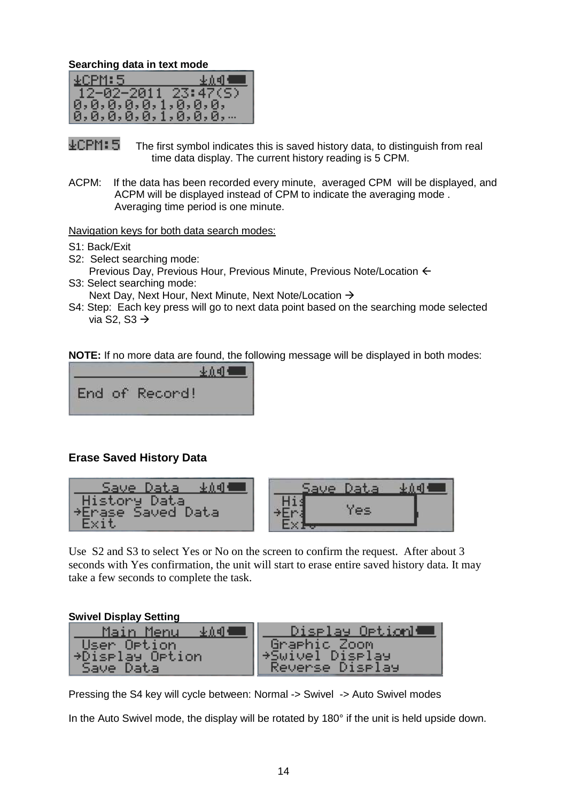**Searching data in text mode**

| ACPM:5                      | 业众 <b>4] * ■■</b> |
|-----------------------------|-------------------|
| $12 - 02 - 2011$ $23:47(5)$ |                   |
| 10, 0, 0, 0, 0, 1, 0, 0, 0, |                   |
| 10, 0, 0, 0, 0, 1, 0, 0, 0, |                   |

 $\pm$  CPM:  $\overline{5}$  The first symbol indicates this is saved history data, to distinguish from real time data display. The current history reading is 5 CPM.

ACPM: If the data has been recorded every minute, averaged CPM will be displayed, and ACPM will be displayed instead of CPM to indicate the averaging mode . Averaging time period is one minute.

Navigation keys for both data search modes:

- S1: Back/Exit
- S2: Select searching mode:
- Previous Day, Previous Hour, Previous Minute, Previous Note/Location S3: Select searching mode:
	- Next Day, Next Hour, Next Minute, Next Note/Location →
- S4: Step: Each key press will go to next data point based on the searching mode selected via S2, S3  $\rightarrow$

**NOTE:** If no more data are found, the following message will be displayed in both modes:



#### <span id="page-13-0"></span>**Erase Saved History Data**



Use S2 and S3 to select Yes or No on the screen to confirm the request. After about 3 seconds with Yes confirmation, the unit will start to erase entire saved history data. It may take a few seconds to complete the task.

#### <span id="page-13-1"></span>**Swivel Display Setting**

| Main Menu<br>生息相相 | Diselay Option   |
|-------------------|------------------|
| User Option       | Graphic Zoom     |
| →Diselay Oetion   | ∥→Swivel Diselay |
| Save Data         | Reverse Display  |

Pressing the S4 key will cycle between: Normal -> Swivel -> Auto Swivel modes

In the Auto Swivel mode, the display will be rotated by 180° if the unit is held upside down.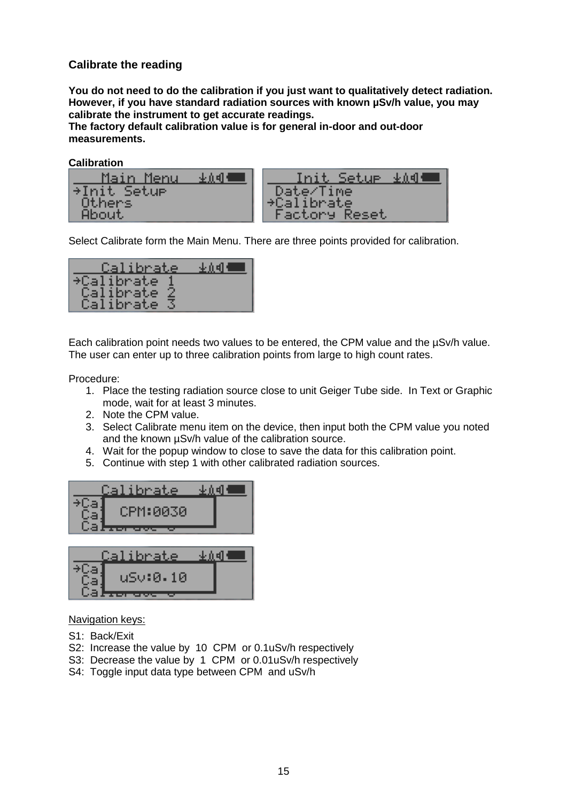#### <span id="page-14-0"></span>**Calibrate the reading**

**You do not need to do the calibration if you just want to qualitatively detect radiation. However, if you have standard radiation sources with known µSv/h value, you may calibrate the instrument to get accurate readings.**

**The factory default calibration value is for general in-door and out-door measurements.**

**Calibration**

| Main Menu       | <u>Init Setur</u><br>生真理                  |
|-----------------|-------------------------------------------|
| ⇒Init Setue     | Date/Time                                 |
| Others<br>About | <b>+Calibrate</b><br><b>Factory Reset</b> |

Select Calibrate form the Main Menu. There are three points provided for calibration.

| Calibrate   | 亚血明 |
|-------------|-----|
| →Calibrate  |     |
| Calibrate 2 |     |
| Calibrate   |     |

Each calibration point needs two values to be entered, the CPM value and the µSv/h value. The user can enter up to three calibration points from large to high count rates.

Procedure:

- 1. Place the testing radiation source close to unit Geiger Tube side. In Text or Graphic mode, wait for at least 3 minutes.
- 2. Note the CPM value.
- 3. Select Calibrate menu item on the device, then input both the CPM value you noted and the known µSv/h value of the calibration source.
- 4. Wait for the popup window to close to save the data for this calibration point.
- 5. Continue with step 1 with other calibrated radiation sources.



| lalibrate |  |
|-----------|--|
| uSv:0.10  |  |

#### Navigation keys:

- S1: Back/Exit
- S2: Increase the value by 10 CPM or 0.1uSv/h respectively
- S3: Decrease the value by 1 CPM or 0.01uSv/h respectively
- S4: Toggle input data type between CPM and uSv/h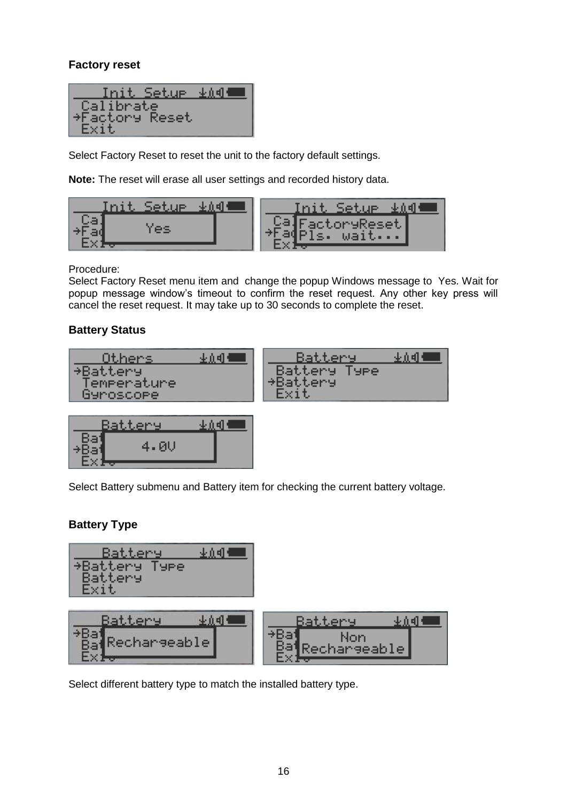### <span id="page-15-0"></span>**Factory reset**



Select Factory Reset to reset the unit to the factory default settings.

**Note:** The reset will erase all user settings and recorded history data.



Procedure:

Select Factory Reset menu item and change the popup Windows message to Yes. Wait for popup message window's timeout to confirm the reset request. Any other key press will cancel the reset request. It may take up to 30 seconds to complete the reset.

### <span id="page-15-1"></span>**Battery Status**



| Battery |  |
|---------|--|
| 4.0V    |  |
|         |  |

Select Battery submenu and Battery item for checking the current battery voltage.

### <span id="page-15-2"></span>**Battery Type**



Select different battery type to match the installed battery type.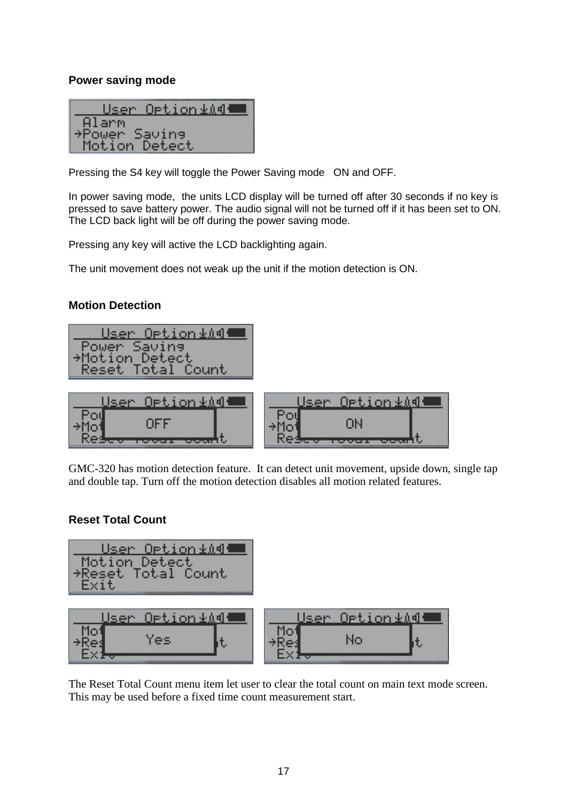#### <span id="page-16-0"></span>**Power saving mode**

| User Option≰∆¶∰ |
|-----------------|
| Alarm           |
| →Power Saving   |
| Motion Detect   |

Pressing the S4 key will toggle the Power Saving mode ON and OFF.

In power saving mode, the units LCD display will be turned off after 30 seconds if no key is pressed to save battery power. The audio signal will not be turned off if it has been set to ON. The LCD back light will be off during the power saving mode.

Pressing any key will active the LCD backlighting again.

The unit movement does not weak up the unit if the motion detection is ON.

#### <span id="page-16-1"></span>**Motion Detection**

| User Option≰∆¶¶      |
|----------------------|
| Power Saving         |
| <b>Motion Detect</b> |
| Reset Total Count    |

| $[0pt, i$ on $+$ $i$ $d$ .<br><b>Lean</b> | $[0pt, i on + 00]$ |
|-------------------------------------------|--------------------|
|                                           | . TIV              |
|                                           |                    |

GMC-320 has motion detection feature. It can detect unit movement, upside down, single tap and double tap. Turn off the motion detection disables all motion related features.

#### <span id="page-16-2"></span>**Reset Total Count**



The Reset Total Count menu item let user to clear the total count on main text mode screen. This may be used before a fixed time count measurement start.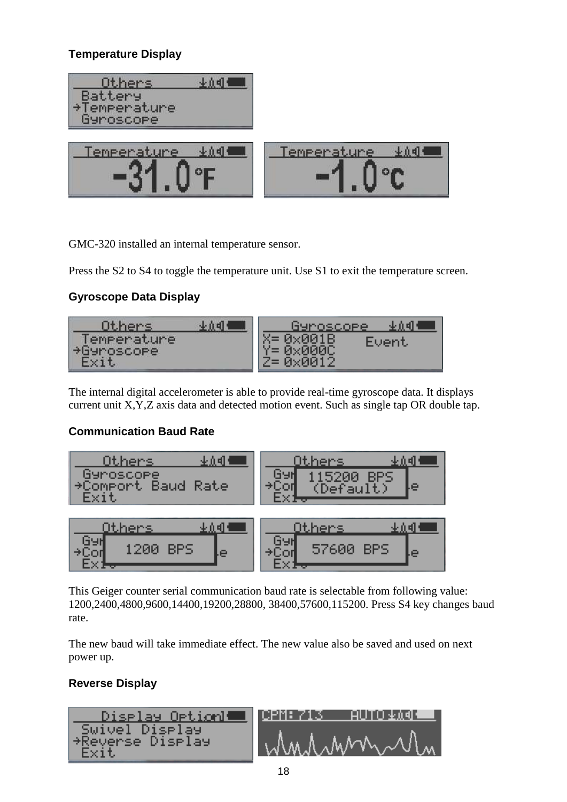# <span id="page-17-0"></span>**Temperature Display**



GMC-320 installed an internal temperature sensor.

Press the S2 to S4 to toggle the temperature unit. Use S1 to exit the temperature screen.

# <span id="page-17-1"></span>**Gyroscope Data Display**



The internal digital accelerometer is able to provide real-time gyroscope data. It displays current unit X,Y,Z axis data and detected motion event. Such as single tap OR double tap.

# <span id="page-17-2"></span>**Communication Baud Rate**



This Geiger counter serial communication baud rate is selectable from following value: 1200,2400,4800,9600,14400,19200,28800, 38400,57600,115200. Press S4 key changes baud rate.

The new baud will take immediate effect. The new value also be saved and used on next power up.

# <span id="page-17-3"></span>**Reverse Display**

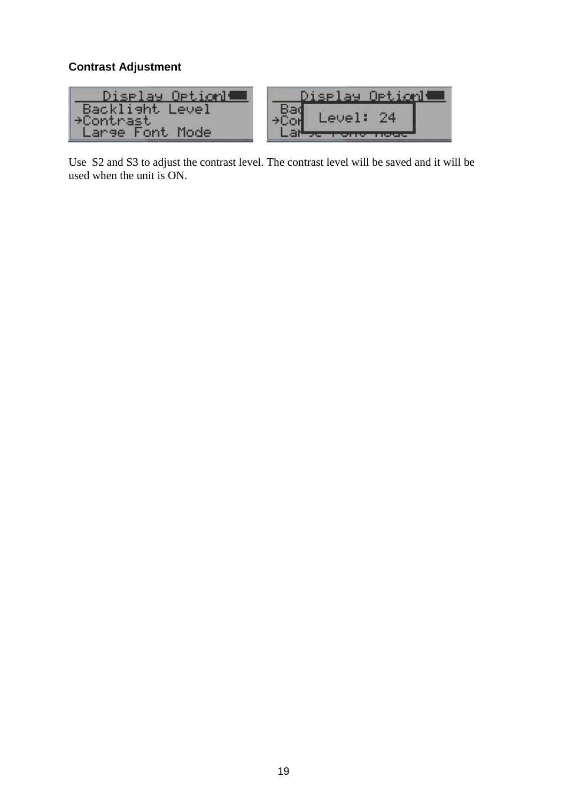#### <span id="page-18-0"></span>**Contrast Adjustment**



Use S2 and S3 to adjust the contrast level. The contrast level will be saved and it will be used when the unit is ON.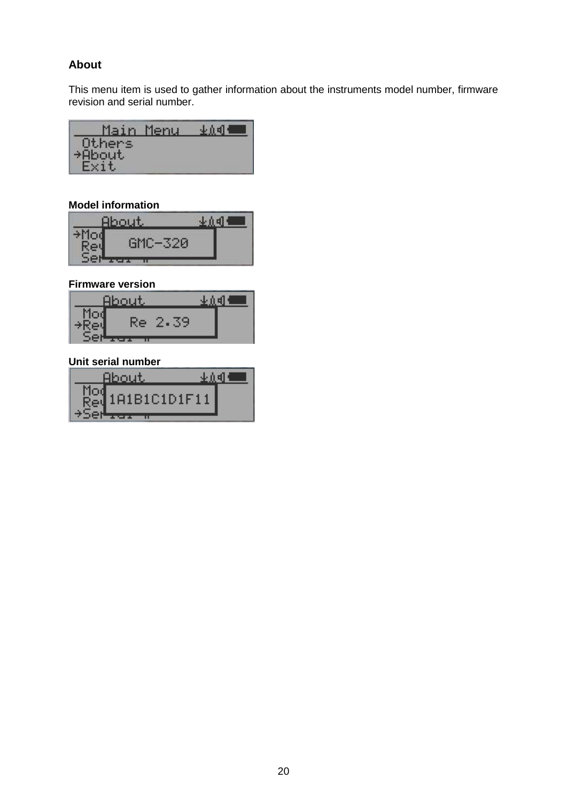#### <span id="page-19-0"></span>**About**

This menu item is used to gather information about the instruments model number, firmware revision and serial number.

| Main   | Menu | n el |
|--------|------|------|
| Others |      |      |
| +About |      |      |
|        |      |      |

#### <span id="page-19-1"></span>**Model information**

| <b>ACTI</b>                      |  |
|----------------------------------|--|
| <b><i><u>CONTRACTORS</u></i></b> |  |
| ш                                |  |

#### <span id="page-19-2"></span>**Firmware version**



#### <span id="page-19-3"></span>**Unit serial number**

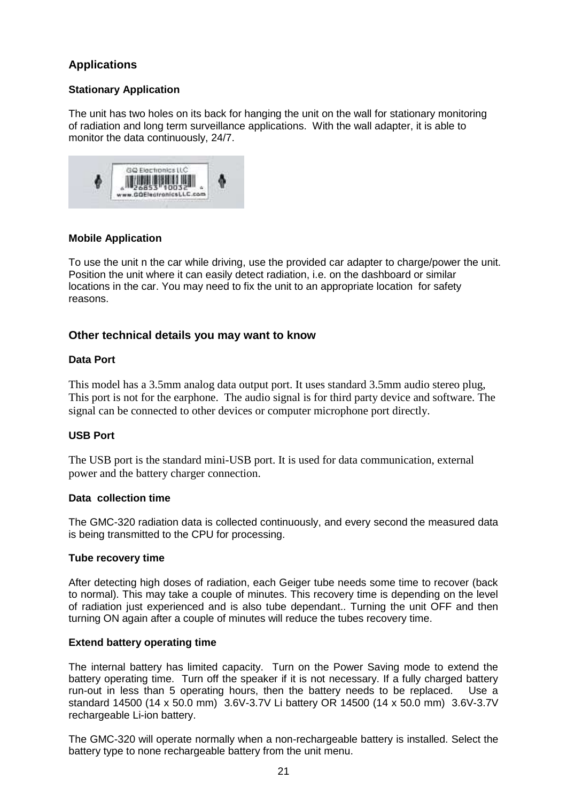#### <span id="page-20-0"></span>**Applications**

#### <span id="page-20-1"></span>**Stationary Application**

The unit has two holes on its back for hanging the unit on the wall for stationary monitoring of radiation and long term surveillance applications. With the wall adapter, it is able to monitor the data continuously, 24/7.



#### **Mobile Application**

To use the unit n the car while driving, use the provided car adapter to charge/power the unit. Position the unit where it can easily detect radiation, i.e. on the dashboard or similar locations in the car. You may need to fix the unit to an appropriate location for safety reasons.

#### <span id="page-20-2"></span>**Other technical details you may want to know**

#### **Data Port**

This model has a 3.5mm analog data output port. It uses standard 3.5mm audio stereo plug, This port is not for the earphone. The audio signal is for third party device and software. The signal can be connected to other devices or computer microphone port directly.

#### **USB Port**

The USB port is the standard mini-USB port. It is used for data communication, external power and the battery charger connection.

#### <span id="page-20-3"></span>**Data collection time**

The GMC-320 radiation data is collected continuously, and every second the measured data is being transmitted to the CPU for processing.

#### <span id="page-20-4"></span>**Tube recovery time**

After detecting high doses of radiation, each Geiger tube needs some time to recover (back to normal). This may take a couple of minutes. This recovery time is depending on the level of radiation just experienced and is also tube dependant.. Turning the unit OFF and then turning ON again after a couple of minutes will reduce the tubes recovery time.

#### <span id="page-20-5"></span>**Extend battery operating time**

The internal battery has limited capacity. Turn on the Power Saving mode to extend the battery operating time. Turn off the speaker if it is not necessary. If a fully charged battery run-out in less than 5 operating hours, then the battery needs to be replaced. Use a standard 14500 (14 x 50.0 mm) 3.6V-3.7V Li battery OR 14500 (14 x 50.0 mm) 3.6V-3.7V rechargeable Li-ion battery.

The GMC-320 will operate normally when a non-rechargeable battery is installed. Select the battery type to none rechargeable battery from the unit menu.